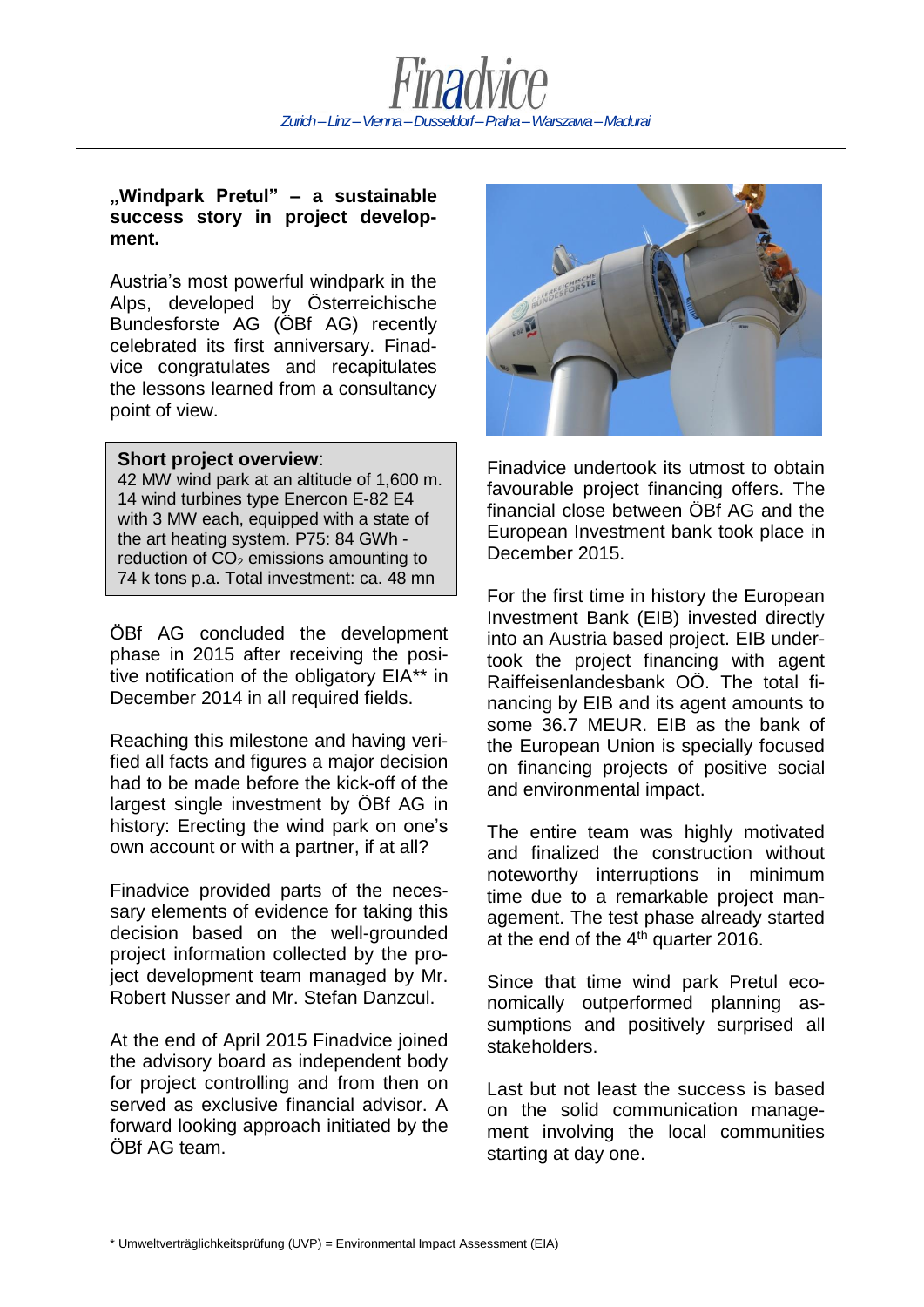

## **"Windpark Pretul" – a sustainable success story in project development.**

Austria's most powerful windpark in the Alps, developed by Österreichische Bundesforste AG (ÖBf AG) recently celebrated its first anniversary. Finadvice congratulates and recapitulates the lessons learned from a consultancy point of view.

## **Short project overview**:

€.

42 MW wind park at an altitude of 1,600 m. 14 wind turbines type Enercon E-82 E4 with 3 MW each, equipped with a state of the art heating system. P75: 84 GWh reduction of  $CO<sub>2</sub>$  emissions amounting to 74 k tons p.a. Total investment: ca. 48 mn

ÖBf AG concluded the development phase in 2015 after receiving the positive notification of the obligatory EIA\*\* in December 2014 in all required fields.

Reaching this milestone and having verified all facts and figures a major decision had to be made before the kick-off of the largest single investment by ÖBf AG in history: Erecting the wind park on one's own account or with a partner, if at all?

Finadvice provided parts of the necessary elements of evidence for taking this decision based on the well-grounded project information collected by the project development team managed by Mr. Robert Nusser and Mr. Stefan Danzcul.

At the end of April 2015 Finadvice joined the advisory board as independent body for project controlling and from then on served as exclusive financial advisor. A forward looking approach initiated by the ÖBf AG team.



Finadvice undertook its utmost to obtain favourable project financing offers. The financial close between ÖBf AG and the European Investment bank took place in December 2015.

For the first time in history the European Investment Bank (EIB) invested directly into an Austria based project. EIB undertook the project financing with agent Raiffeisenlandesbank OÖ. The total financing by EIB and its agent amounts to some 36.7 MEUR. EIB as the bank of the European Union is specially focused on financing projects of positive social and environmental impact.

The entire team was highly motivated and finalized the construction without noteworthy interruptions in minimum time due to a remarkable project management. The test phase already started at the end of the  $4<sup>th</sup>$  quarter 2016.

Since that time wind park Pretul economically outperformed planning assumptions and positively surprised all stakeholders.

Last but not least the success is based on the solid communication management involving the local communities starting at day one.